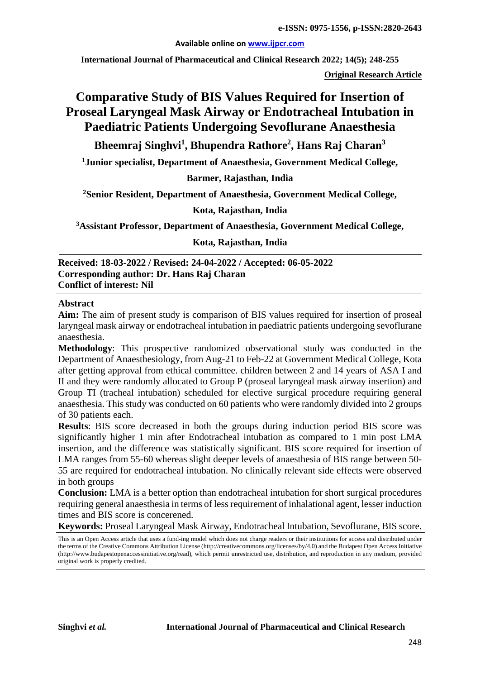#### **Available online on [www.ijpcr.com](http://www.ijpcr.com/)**

**International Journal of Pharmaceutical and Clinical Research 2022; 14(5); 248-255**

**Original Research Article**

# **Comparative Study of BIS Values Required for Insertion of Proseal Laryngeal Mask Airway or Endotracheal Intubation in Paediatric Patients Undergoing Sevoflurane Anaesthesia**

## **Bheemraj Singhvi1 , Bhupendra Rathore2 , Hans Raj Charan<sup>3</sup>**

**1 Junior specialist, Department of Anaesthesia, Government Medical College,**

**Barmer, Rajasthan, India**

**2 Senior Resident, Department of Anaesthesia, Government Medical College,**

#### **Kota, Rajasthan, India**

**3 Assistant Professor, Department of Anaesthesia, Government Medical College,**

**Kota, Rajasthan, India**

**Received: 18-03-2022 / Revised: 24-04-2022 / Accepted: 06-05-2022 Corresponding author: Dr. Hans Raj Charan Conflict of interest: Nil**

#### **Abstract**

**Aim:** The aim of present study is comparison of BIS values required for insertion of proseal laryngeal mask airway or endotracheal intubation in paediatric patients undergoing sevoflurane anaesthesia.

**Methodology**: This prospective randomized observational study was conducted in the Department of Anaesthesiology, from Aug-21 to Feb-22 at Government Medical College, Kota after getting approval from ethical committee. children between 2 and 14 years of ASA I and II and they were randomly allocated to Group P (proseal laryngeal mask airway insertion) and Group TI (tracheal intubation) scheduled for elective surgical procedure requiring general anaesthesia. This study was conducted on 60 patients who were randomly divided into 2 groups of 30 patients each.

**Results**: BIS score decreased in both the groups during induction period BIS score was significantly higher 1 min after Endotracheal intubation as compared to 1 min post LMA insertion, and the difference was statistically significant. BIS score required for insertion of LMA ranges from 55-60 whereas slight deeper levels of anaesthesia of BIS range between 50- 55 are required for endotracheal intubation. No clinically relevant side effects were observed in both groups

**Conclusion:** LMA is a better option than endotracheal intubation for short surgical procedures requiring general anaesthesia in terms of less requirement of inhalational agent, lesser induction times and BIS score is concerened.

**Keywords:** Proseal Laryngeal Mask Airway, Endotracheal Intubation, Sevoflurane, BIS score.

This is an Open Access article that uses a fund-ing model which does not charge readers or their institutions for access and distributed under the terms of the Creative Commons Attribution License (http://creativecommons.org/licenses/by/4.0) and the Budapest Open Access Initiative (http://www.budapestopenaccessinitiative.org/read), which permit unrestricted use, distribution, and reproduction in any medium, provided original work is properly credited.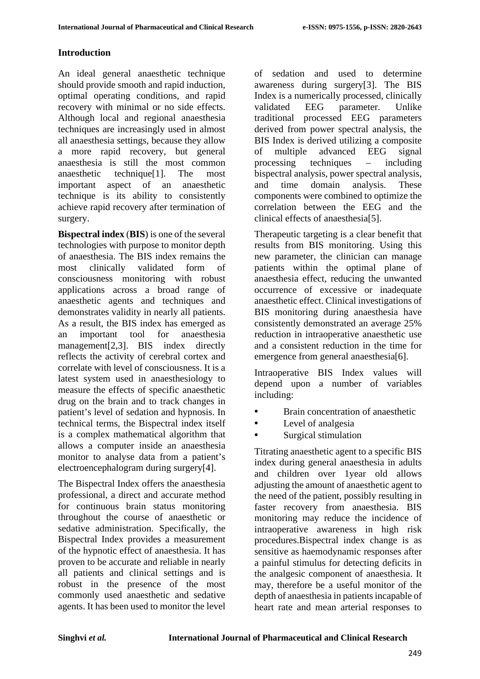### **Introduction**

An ideal general anaesthetic technique should provide smooth and rapid induction, optimal operating conditions, and rapid recovery with minimal or no side effects. Although local and regional anaesthesia techniques are increasingly used in almost all anaesthesia settings, because they allow a more rapid recovery, but general anaesthesia is still the most common anaesthetic technique[1]. The most important aspect of an anaesthetic technique is its ability to consistently achieve rapid recovery after termination of surgery.

**Bispectral index** (**BIS**) is one of the several technologies with purpose to monitor depth of anaesthesia. The BIS index remains the most clinically validated form of consciousness monitoring with robust applications across a broad range of anaesthetic agents and techniques and demonstrates validity in nearly all patients. As a result, the BIS index has emerged as an important tool for anaesthesia management[2,3]. BIS index directly reflects the activity of cerebral cortex and correlate with level of consciousness. It is a latest system used in anaesthesiology to measure the effects of specific anaesthetic drug on the brain and to track changes in patient's level of sedation and hypnosis. In technical terms, the Bispectral index itself is a complex mathematical algorithm that allows a computer inside an anaesthesia monitor to analyse data from a patient's electroencephalogram during surgery[4].

The Bispectral Index offers the anaesthesia professional, a direct and accurate method for continuous brain status monitoring throughout the course of anaesthetic or sedative administration. Specifically, the Bispectral Index provides a measurement of the hypnotic effect of anaesthesia. It has proven to be accurate and reliable in nearly all patients and clinical settings and is robust in the presence of the most commonly used anaesthetic and sedative agents. It has been used to monitor the level

of sedation and used to determine awareness during surgery[3]. The BIS Index is a numerically processed, clinically validated EEG parameter. Unlike traditional processed EEG parameters derived from power spectral analysis, the BIS Index is derived utilizing a composite of multiple advanced EEG signal processing techniques – including bispectral analysis, power spectral analysis, and time domain analysis. These components were combined to optimize the correlation between the EEG and the clinical effects of anaesthesia[5].

Therapeutic targeting is a clear benefit that results from BIS monitoring. Using this new parameter, the clinician can manage patients within the optimal plane of anaesthesia effect, reducing the unwanted occurrence of excessive or inadequate anaesthetic effect. Clinical investigations of BIS monitoring during anaesthesia have consistently demonstrated an average 25% reduction in intraoperative anaesthetic use and a consistent reduction in the time for emergence from general anaesthesia[6].

Intraoperative BIS Index values will depend upon a number of variables including:

- Brain concentration of anaesthetic
- Level of analgesia
- Surgical stimulation

Titrating anaesthetic agent to a specific BIS index during general anaesthesia in adults and children over 1year old allows adjusting the amount of anaesthetic agent to the need of the patient, possibly resulting in faster recovery from anaesthesia. BIS monitoring may reduce the incidence of intraoperative awareness in high risk procedures.Bispectral index change is as sensitive as haemodynamic responses after a painful stimulus for detecting deficits in the analgesic component of anaesthesia. It may, therefore be a useful monitor of the depth of anaesthesia in patients incapable of heart rate and mean arterial responses to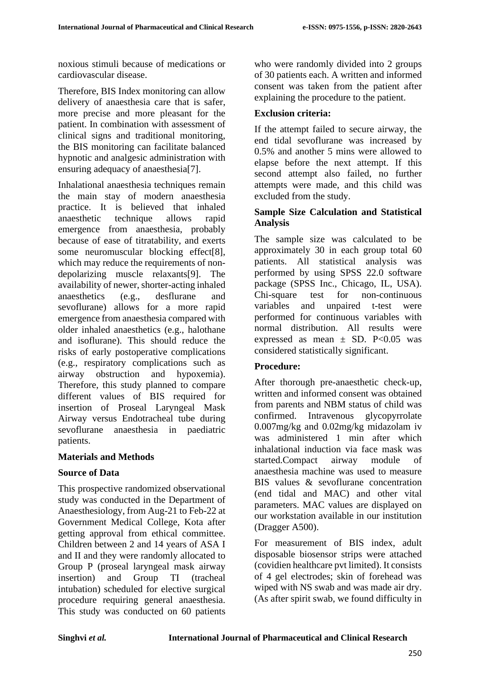noxious stimuli because of medications or cardiovascular disease.

Therefore, BIS Index monitoring can allow delivery of anaesthesia care that is safer, more precise and more pleasant for the patient. In combination with assessment of clinical signs and traditional monitoring, the BIS monitoring can facilitate balanced hypnotic and analgesic administration with ensuring adequacy of anaesthesia[7].

Inhalational anaesthesia techniques remain the main stay of modern anaesthesia practice. It is believed that inhaled anaesthetic technique allows rapid emergence from anaesthesia, probably because of ease of titratability, and exerts some neuromuscular blocking effect[8], which may reduce the requirements of nondepolarizing muscle relaxants[9]. The availability of newer, shorter-acting inhaled anaesthetics (e.g., desflurane and sevoflurane) allows for a more rapid emergence from anaesthesia compared with older inhaled anaesthetics (e.g., halothane and isoflurane). This should reduce the risks of early postoperative complications (e.g., respiratory complications such as airway obstruction and hypoxemia). Therefore, this study planned to compare different values of BIS required for insertion of Proseal Laryngeal Mask Airway versus Endotracheal tube during sevoflurane anaesthesia in paediatric patients.

#### **Materials and Methods**

#### **Source of Data**

This prospective randomized observational study was conducted in the Department of Anaesthesiology, from Aug-21 to Feb-22 at Government Medical College, Kota after getting approval from ethical committee. Children between 2 and 14 years of ASA I and II and they were randomly allocated to Group P (proseal laryngeal mask airway insertion) and Group TI (tracheal intubation) scheduled for elective surgical procedure requiring general anaesthesia. This study was conducted on 60 patients

who were randomly divided into 2 groups of 30 patients each. A written and informed consent was taken from the patient after explaining the procedure to the patient.

### **Exclusion criteria:**

If the attempt failed to secure airway, the end tidal sevoflurane was increased by 0.5% and another 5 mins were allowed to elapse before the next attempt. If this second attempt also failed, no further attempts were made, and this child was excluded from the study.

#### **Sample Size Calculation and Statistical Analysis**

The sample size was calculated to be approximately 30 in each group total 60 patients. All statistical analysis was performed by using SPSS 22.0 software package (SPSS Inc., Chicago, IL, USA). Chi-square test for non-continuous variables and unpaired t-test were performed for continuous variables with normal distribution. All results were expressed as mean  $\pm$  SD. P<0.05 was considered statistically significant.

### **Procedure:**

After thorough pre-anaesthetic check-up, written and informed consent was obtained from parents and NBM status of child was confirmed. Intravenous glycopyrrolate 0.007mg/kg and 0.02mg/kg midazolam iv was administered 1 min after which inhalational induction via face mask was started.Compact airway module of anaesthesia machine was used to measure BIS values & sevoflurane concentration (end tidal and MAC) and other vital parameters. MAC values are displayed on our workstation available in our institution (Dragger A500).

For measurement of BIS index, adult disposable biosensor strips were attached (covidien healthcare pvt limited). It consists of 4 gel electrodes; skin of forehead was wiped with NS swab and was made air dry. (As after spirit swab, we found difficulty in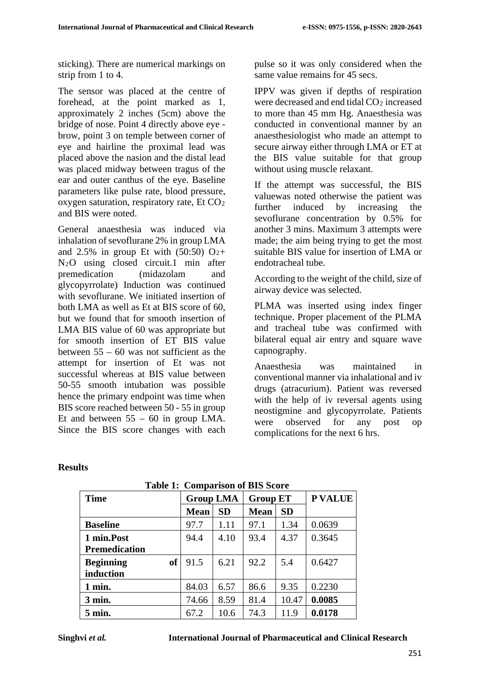sticking). There are numerical markings on strip from 1 to 4.

The sensor was placed at the centre of forehead, at the point marked as 1, approximately 2 inches (5cm) above the bridge of nose. Point 4 directly above eye brow, point 3 on temple between corner of eye and hairline the proximal lead was placed above the nasion and the distal lead was placed midway between tragus of the ear and outer canthus of the eye. Baseline parameters like pulse rate, blood pressure, oxygen saturation, respiratory rate, Et CO2 and BIS were noted.

General anaesthesia was induced via inhalation of sevoflurane 2% in group LMA and 2.5% in group Et with  $(50:50)$  O<sub>2</sub>+ N2O using closed circuit.1 min after premedication (midazolam and glycopyrrolate) Induction was continued with sevoflurane. We initiated insertion of both LMA as well as Et at BIS score of 60, but we found that for smooth insertion of LMA BIS value of 60 was appropriate but for smooth insertion of ET BIS value between 55 – 60 was not sufficient as the attempt for insertion of Et was not successful whereas at BIS value between 50-55 smooth intubation was possible hence the primary endpoint was time when BIS score reached between 50 - 55 in group Et and between 55 – 60 in group LMA. Since the BIS score changes with each pulse so it was only considered when the same value remains for 45 secs.

IPPV was given if depths of respiration were decreased and end tidal CO<sub>2</sub> increased to more than 45 mm Hg. Anaesthesia was conducted in conventional manner by an anaesthesiologist who made an attempt to secure airway either through LMA or ET at the BIS value suitable for that group without using muscle relaxant.

If the attempt was successful, the BIS valuewas noted otherwise the patient was further induced by increasing the sevoflurane concentration by 0.5% for another 3 mins. Maximum 3 attempts were made; the aim being trying to get the most suitable BIS value for insertion of LMA or endotracheal tube.

According to the weight of the child, size of airway device was selected.

PLMA was inserted using index finger technique. Proper placement of the PLMA and tracheal tube was confirmed with bilateral equal air entry and square wave capnography.

Anaesthesia was maintained in conventional manner via inhalational and iv drugs (atracurium). Patient was reversed with the help of iv reversal agents using neostigmine and glycopyrrolate. Patients were observed for any post op complications for the next 6 hrs.

| <b>Time</b>                   | <b>Group LMA</b> |           | <b>Group ET</b> |           | <b>P VALUE</b> |
|-------------------------------|------------------|-----------|-----------------|-----------|----------------|
|                               | <b>Mean</b>      | <b>SD</b> | <b>Mean</b>     | <b>SD</b> |                |
| <b>Baseline</b>               | 97.7             | 1.11      | 97.1            | 1.34      | 0.0639         |
| 1 min.Post                    | 94.4             | 4.10      | 93.4            | 4.37      | 0.3645         |
| <b>Premedication</b>          |                  |           |                 |           |                |
| <b>Beginning</b><br><b>of</b> | 91.5             | 6.21      | 92.2            | 5.4       | 0.6427         |
| induction                     |                  |           |                 |           |                |
| 1 min.                        | 84.03            | 6.57      | 86.6            | 9.35      | 0.2230         |
| 3 min.                        | 74.66            | 8.59      | 81.4            | 10.47     | 0.0085         |
| 5 min.                        | 67.2             | 10.6      | 74.3            | 11.9      | 0.0178         |

#### **Table 1: Comparison of BIS Score**

**Results**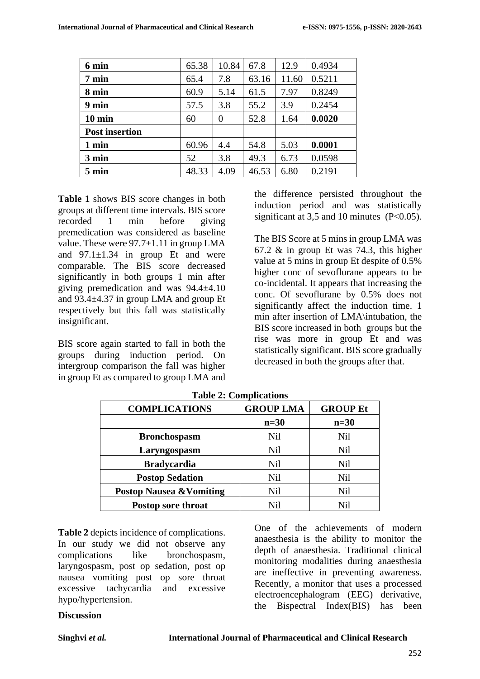| 6 min                 | 65.38 | 10.84 | 67.8  | 12.9  | 0.4934 |
|-----------------------|-------|-------|-------|-------|--------|
| $7 \text{ min}$       | 65.4  | 7.8   | 63.16 | 11.60 | 0.5211 |
| 8 min                 | 60.9  | 5.14  | 61.5  | 7.97  | 0.8249 |
| 9 min                 | 57.5  | 3.8   | 55.2  | 3.9   | 0.2454 |
| $10 \text{ min}$      | 60    | 0     | 52.8  | 1.64  | 0.0020 |
| <b>Post insertion</b> |       |       |       |       |        |
| 1 min                 | 60.96 | 4.4   | 54.8  | 5.03  | 0.0001 |
| 3 min                 | 52    | 3.8   | 49.3  | 6.73  | 0.0598 |
| $5 \text{ min}$       | 48.33 | 4.09  | 46.53 | 6.80  | 0.2191 |
|                       |       |       |       |       |        |

**Table 1** shows BIS score changes in both groups at different time intervals. BIS score recorded 1 min before giving premedication was considered as baseline value. These were  $97.7\pm1.11$  in group LMA and  $97.1 \pm 1.34$  in group Et and were comparable. The BIS score decreased significantly in both groups 1 min after giving premedication and was 94.4±4.10 and 93.4±4.37 in group LMA and group Et respectively but this fall was statistically insignificant.

BIS score again started to fall in both the groups during induction period. On intergroup comparison the fall was higher in group Et as compared to group LMA and the difference persisted throughout the induction period and was statistically significant at 3,5 and 10 minutes  $(P<0.05)$ .

The BIS Score at 5 mins in group LMA was 67.2 & in group Et was 74.3, this higher value at 5 mins in group Et despite of 0.5% higher conc of sevoflurane appears to be co-incidental. It appears that increasing the conc. Of sevoflurane by 0.5% does not significantly affect the induction time. 1 min after insertion of LMA\intubation, the BIS score increased in both groups but the rise was more in group Et and was statistically significant. BIS score gradually decreased in both the groups after that.

| <b>COMPLICATIONS</b>                | <b>GROUP LMA</b> | <b>GROUP Et</b> |
|-------------------------------------|------------------|-----------------|
|                                     | $n=30$           | $n=30$          |
| <b>Bronchospasm</b>                 | <b>Nil</b>       | <b>Nil</b>      |
| Laryngospasm                        | <b>Nil</b>       | <b>Nil</b>      |
| <b>Bradycardia</b>                  | <b>Nil</b>       | <b>Nil</b>      |
| <b>Postop Sedation</b>              | <b>Nil</b>       | <b>Nil</b>      |
| <b>Postop Nausea &amp; Vomiting</b> | <b>Nil</b>       | <b>Nil</b>      |
| Postop sore throat                  | Nil              | Ni1             |

**Table 2: Complications**

**Table 2** depicts incidence of complications. In our study we did not observe any complications like bronchospasm, laryngospasm, post op sedation, post op nausea vomiting post op sore throat excessive tachycardia and excessive hypo/hypertension.

One of the achievements of modern anaesthesia is the ability to monitor the depth of anaesthesia. Traditional clinical monitoring modalities during anaesthesia are ineffective in preventing awareness. Recently, a monitor that uses a processed electroencephalogram (EEG) derivative, the Bispectral Index(BIS) has been

#### **Discussion**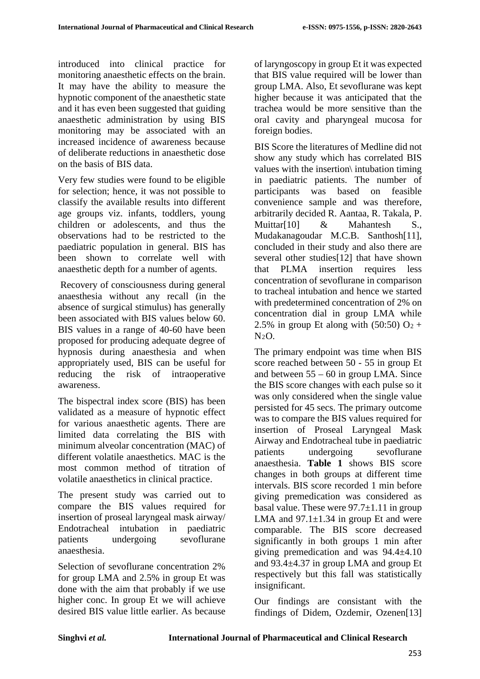introduced into clinical practice for monitoring anaesthetic effects on the brain. It may have the ability to measure the hypnotic component of the anaesthetic state and it has even been suggested that guiding anaesthetic administration by using BIS monitoring may be associated with an increased incidence of awareness because of deliberate reductions in anaesthetic dose on the basis of BIS data.

Very few studies were found to be eligible for selection; hence, it was not possible to classify the available results into different age groups viz. infants, toddlers, young children or adolescents, and thus the observations had to be restricted to the paediatric population in general. BIS has been shown to correlate well with anaesthetic depth for a number of agents.

Recovery of consciousness during general anaesthesia without any recall (in the absence of surgical stimulus) has generally been associated with BIS values below 60. BIS values in a range of 40-60 have been proposed for producing adequate degree of hypnosis during anaesthesia and when appropriately used, BIS can be useful for reducing the risk of intraoperative awareness.

The bispectral index score (BIS) has been validated as a measure of hypnotic effect for various anaesthetic agents. There are limited data correlating the BIS with minimum alveolar concentration (MAC) of different volatile anaesthetics. MAC is the most common method of titration of volatile anaesthetics in clinical practice.

The present study was carried out to compare the BIS values required for insertion of proseal laryngeal mask airway/ Endotracheal intubation in paediatric patients undergoing sevoflurane anaesthesia.

Selection of sevoflurane concentration 2% for group LMA and 2.5% in group Et was done with the aim that probably if we use higher conc. In group Et we will achieve desired BIS value little earlier. As because of laryngoscopy in group Et it was expected that BIS value required will be lower than group LMA. Also, Et sevoflurane was kept higher because it was anticipated that the trachea would be more sensitive than the oral cavity and pharyngeal mucosa for foreign bodies.

BIS Score the literatures of Medline did not show any study which has correlated BIS values with the insertion\ intubation timing in paediatric patients. The number of participants was based on feasible convenience sample and was therefore, arbitrarily decided R. Aantaa, R. Takala, P. Muittar[10] & Mahantesh S., Mudakanagoudar M.C.B. Santhosh[11], concluded in their study and also there are several other studies[12] that have shown that PLMA insertion requires less concentration of sevoflurane in comparison to tracheal intubation and hence we started with predetermined concentration of 2% on concentration dial in group LMA while 2.5% in group Et along with  $(50:50)$  O<sub>2</sub> +  $N<sub>2</sub>O$ .

The primary endpoint was time when BIS score reached between 50 - 55 in group Et and between  $55 - 60$  in group LMA. Since the BIS score changes with each pulse so it was only considered when the single value persisted for 45 secs. The primary outcome was to compare the BIS values required for insertion of Proseal Laryngeal Mask Airway and Endotracheal tube in paediatric patients undergoing sevoflurane anaesthesia. **Table 1** shows BIS score changes in both groups at different time intervals. BIS score recorded 1 min before giving premedication was considered as basal value. These were  $97.7\pm1.11$  in group LMA and  $97.1 \pm 1.34$  in group Et and were comparable. The BIS score decreased significantly in both groups 1 min after giving premedication and was 94.4±4.10 and 93.4±4.37 in group LMA and group Et respectively but this fall was statistically insignificant.

Our findings are consistant with the findings of Didem, Ozdemir, Ozenen[13]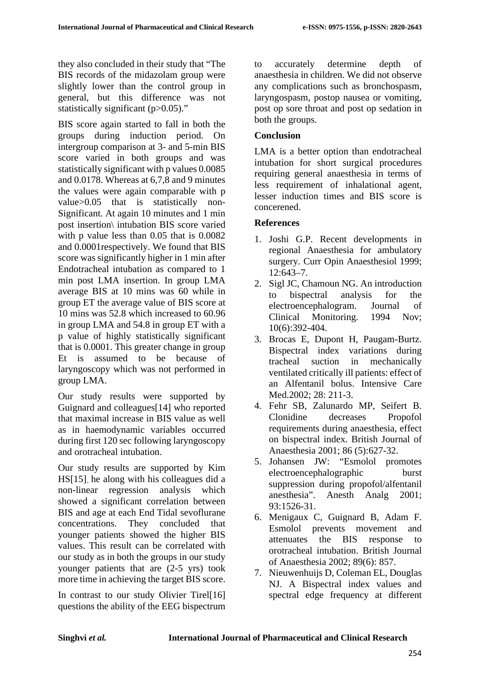they also concluded in their study that "The BIS records of the midazolam group were slightly lower than the control group in general, but this difference was not statistically significant (p>0.05)."

BIS score again started to fall in both the groups during induction period. On intergroup comparison at 3- and 5-min BIS score varied in both groups and was statistically significant with p values 0.0085 and 0.0178. Whereas at 6,7,8 and 9 minutes the values were again comparable with p value>0.05 that is statistically non-Significant. At again 10 minutes and 1 min post insertion\ intubation BIS score varied with p value less than 0.05 that is 0.0082 and 0.0001respectively. We found that BIS score was significantly higher in 1 min after Endotracheal intubation as compared to 1 min post LMA insertion. In group LMA average BIS at 10 mins was 60 while in group ET the average value of BIS score at 10 mins was 52.8 which increased to 60.96 in group LMA and 54.8 in group ET with a p value of highly statistically significant that is 0.0001. This greater change in group Et is assumed to be because of laryngoscopy which was not performed in group LMA.

Our study results were supported by Guignard and colleagues[14] who reported that maximal increase in BIS value as well as in haemodynamic variables occurred during first 120 sec following laryngoscopy and orotracheal intubation.

Our study results are supported by Kim HS[15], he along with his colleagues did a non-linear regression analysis which showed a significant correlation between BIS and age at each End Tidal sevoflurane concentrations. They concluded that younger patients showed the higher BIS values. This result can be correlated with our study as in both the groups in our study younger patients that are (2-5 yrs) took more time in achieving the target BIS score.

In contrast to our study Olivier Tirel[16] questions the ability of the EEG bispectrum to accurately determine depth of anaesthesia in children. We did not observe any complications such as bronchospasm, laryngospasm, postop nausea or vomiting, post op sore throat and post op sedation in both the groups.

### **Conclusion**

LMA is a better option than endotracheal intubation for short surgical procedures requiring general anaesthesia in terms of less requirement of inhalational agent, lesser induction times and BIS score is concerened.

### **References**

- 1. Joshi G.P. Recent developments in regional Anaesthesia for ambulatory surgery. Curr Opin Anaesthesiol 1999; 12:643–7.
- 2. Sigl JC, Chamoun NG. An introduction to bispectral analysis for the electroencephalogram. Journal of Clinical Monitoring. 1994 Nov; 10(6):392-404.
- 3. Brocas E, Dupont H, Paugam-Burtz. Bispectral index variations during tracheal suction in mechanically ventilated critically ill patients: effect of an Alfentanil bolus. Intensive Care Med. 2002: 28: 211-3.
- 4. Fehr SB, Zalunardo MP, Seifert B. Clonidine decreases Propofol requirements during anaesthesia, effect on bispectral index. British Journal of Anaesthesia 2001; 86 (5):627-32.
- 5. Johansen JW: "Esmolol promotes electroencephalographic burst suppression during propofol/alfentanil anesthesia". Anesth Analg 2001; 93:1526-31.
- 6. Menigaux C, Guignard B, Adam F. Esmolol prevents movement and attenuates the BIS response to orotracheal intubation. British Journal of Anaesthesia 2002; 89(6): 857.
- 7. Nieuwenhuijs D, Coleman EL, Douglas NJ. A Bispectral index values and spectral edge frequency at different